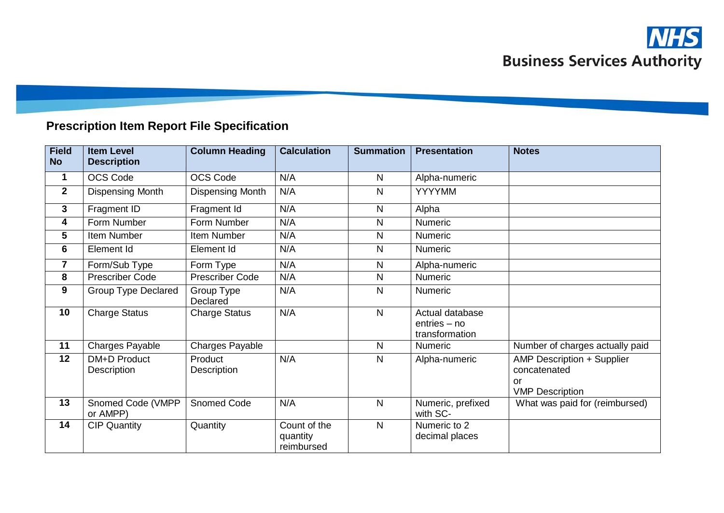

## **Prescription Item Report File Specification**

| <b>Field</b><br><b>No</b> | <b>Item Level</b><br><b>Description</b> | <b>Column Heading</b>   | <b>Calculation</b>                     | <b>Summation</b> | <b>Presentation</b>                                 | <b>Notes</b>                                                                      |
|---------------------------|-----------------------------------------|-------------------------|----------------------------------------|------------------|-----------------------------------------------------|-----------------------------------------------------------------------------------|
| 1                         | OCS Code                                | <b>OCS Code</b>         | N/A                                    | $\mathsf{N}$     | Alpha-numeric                                       |                                                                                   |
| $\mathbf{2}$              | <b>Dispensing Month</b>                 | <b>Dispensing Month</b> | N/A                                    | $\mathsf{N}$     | <b>YYYYMM</b>                                       |                                                                                   |
| 3                         | Fragment ID                             | Fragment Id             | N/A                                    | $\mathsf{N}$     | Alpha                                               |                                                                                   |
| 4                         | Form Number                             | Form Number             | N/A                                    | $\mathsf{N}$     | Numeric                                             |                                                                                   |
| 5                         | Item Number                             | Item Number             | N/A                                    | $\mathsf{N}$     | <b>Numeric</b>                                      |                                                                                   |
| 6                         | Element Id                              | Element Id              | N/A                                    | $\mathsf{N}$     | <b>Numeric</b>                                      |                                                                                   |
| 7                         | Form/Sub Type                           | Form Type               | N/A                                    | $\mathsf{N}$     | Alpha-numeric                                       |                                                                                   |
| 8                         | <b>Prescriber Code</b>                  | <b>Prescriber Code</b>  | N/A                                    | $\mathsf{N}$     | <b>Numeric</b>                                      |                                                                                   |
| 9                         | <b>Group Type Declared</b>              | Group Type<br>Declared  | N/A                                    | $\mathsf{N}$     | <b>Numeric</b>                                      |                                                                                   |
| 10                        | <b>Charge Status</b>                    | <b>Charge Status</b>    | N/A                                    | $\mathsf{N}$     | Actual database<br>$entries - no$<br>transformation |                                                                                   |
| 11                        | Charges Payable                         | Charges Payable         |                                        | $\mathsf{N}$     | <b>Numeric</b>                                      | Number of charges actually paid                                                   |
| 12                        | <b>DM+D Product</b><br>Description      | Product<br>Description  | N/A                                    | $\mathsf{N}$     | Alpha-numeric                                       | <b>AMP Description + Supplier</b><br>concatenated<br>or<br><b>VMP Description</b> |
| 13                        | Snomed Code (VMPP<br>or AMPP)           | Snomed Code             | N/A                                    | $\mathsf{N}$     | Numeric, prefixed<br>with SC-                       | What was paid for (reimbursed)                                                    |
| 14                        | <b>CIP Quantity</b>                     | Quantity                | Count of the<br>quantity<br>reimbursed | $\mathsf{N}$     | Numeric to 2<br>decimal places                      |                                                                                   |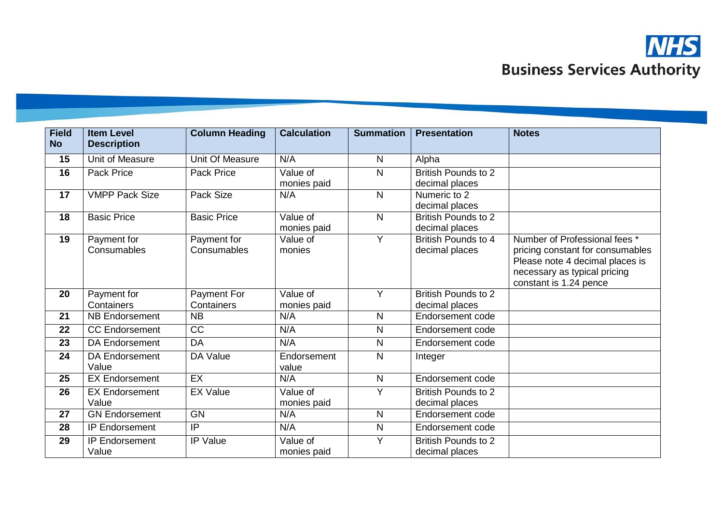

| <b>Field</b><br><b>No</b> | <b>Item Level</b><br><b>Description</b> | <b>Column Heading</b>      | <b>Calculation</b>      | <b>Summation</b> | <b>Presentation</b>                          | <b>Notes</b>                                                                                                                                                   |
|---------------------------|-----------------------------------------|----------------------------|-------------------------|------------------|----------------------------------------------|----------------------------------------------------------------------------------------------------------------------------------------------------------------|
| 15                        | Unit of Measure                         | Unit Of Measure            | N/A                     | $\mathsf{N}$     | Alpha                                        |                                                                                                                                                                |
| 16                        | <b>Pack Price</b>                       | <b>Pack Price</b>          | Value of<br>monies paid | N                | <b>British Pounds to 2</b><br>decimal places |                                                                                                                                                                |
| 17                        | <b>VMPP Pack Size</b>                   | Pack Size                  | N/A                     | $\mathsf{N}$     | Numeric to 2<br>decimal places               |                                                                                                                                                                |
| 18                        | <b>Basic Price</b>                      | <b>Basic Price</b>         | Value of<br>monies paid | N                | <b>British Pounds to 2</b><br>decimal places |                                                                                                                                                                |
| 19                        | Payment for<br>Consumables              | Payment for<br>Consumables | Value of<br>monies      | Ÿ                | <b>British Pounds to 4</b><br>decimal places | Number of Professional fees *<br>pricing constant for consumables<br>Please note 4 decimal places is<br>necessary as typical pricing<br>constant is 1.24 pence |
| 20                        | Payment for<br>Containers               | Payment For<br>Containers  | Value of<br>monies paid | Y                | British Pounds to 2<br>decimal places        |                                                                                                                                                                |
| 21                        | <b>NB Endorsement</b>                   | <b>NB</b>                  | N/A                     | N                | Endorsement code                             |                                                                                                                                                                |
| 22                        | <b>CC Endorsement</b>                   | CC                         | N/A                     | N                | Endorsement code                             |                                                                                                                                                                |
| 23                        | <b>DA Endorsement</b>                   | <b>DA</b>                  | N/A                     | N                | Endorsement code                             |                                                                                                                                                                |
| 24                        | <b>DA Endorsement</b><br>Value          | DA Value                   | Endorsement<br>value    | N                | Integer                                      |                                                                                                                                                                |
| 25                        | <b>EX Endorsement</b>                   | EX                         | N/A                     | $\mathsf{N}$     | Endorsement code                             |                                                                                                                                                                |
| 26                        | <b>EX Endorsement</b><br>Value          | <b>EX Value</b>            | Value of<br>monies paid | Y                | <b>British Pounds to 2</b><br>decimal places |                                                                                                                                                                |
| 27                        | <b>GN Endorsement</b>                   | <b>GN</b>                  | N/A                     | $\mathsf{N}$     | Endorsement code                             |                                                                                                                                                                |
| 28                        | <b>IP Endorsement</b>                   | $\overline{IP}$            | N/A                     | ${\sf N}$        | Endorsement code                             |                                                                                                                                                                |
| 29                        | <b>IP Endorsement</b><br>Value          | <b>IP Value</b>            | Value of<br>monies paid | Ÿ                | <b>British Pounds to 2</b><br>decimal places |                                                                                                                                                                |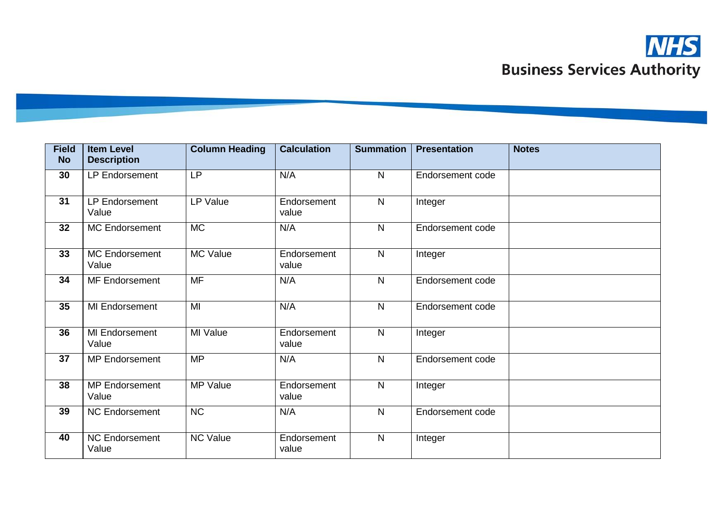

| <b>Field</b><br><b>No</b> | <b>Item Level</b><br><b>Description</b> | <b>Column Heading</b> | <b>Calculation</b>   | <b>Summation</b> | <b>Presentation</b> | <b>Notes</b> |
|---------------------------|-----------------------------------------|-----------------------|----------------------|------------------|---------------------|--------------|
| 30                        | LP Endorsement                          | <b>LP</b>             | N/A                  | $\mathsf{N}$     | Endorsement code    |              |
| 31                        | LP Endorsement<br>Value                 | LP Value              | Endorsement<br>value | $\mathsf{N}$     | Integer             |              |
| 32                        | <b>MC Endorsement</b>                   | <b>MC</b>             | N/A                  | $\mathsf{N}$     | Endorsement code    |              |
| 33                        | <b>MC Endorsement</b><br>Value          | <b>MC Value</b>       | Endorsement<br>value | $\mathsf{N}$     | Integer             |              |
| 34                        | MF Endorsement                          | <b>MF</b>             | N/A                  | $\mathsf{N}$     | Endorsement code    |              |
| 35                        | MI Endorsement                          | MI                    | N/A                  | $\mathsf{N}$     | Endorsement code    |              |
| 36                        | MI Endorsement<br>Value                 | MI Value              | Endorsement<br>value | $\mathsf{N}$     | Integer             |              |
| 37                        | <b>MP Endorsement</b>                   | <b>MP</b>             | N/A                  | $\mathsf{N}$     | Endorsement code    |              |
| 38                        | <b>MP Endorsement</b><br>Value          | <b>MP Value</b>       | Endorsement<br>value | $\mathsf{N}$     | Integer             |              |
| 39                        | <b>NC Endorsement</b>                   | NC                    | N/A                  | $\mathsf{N}$     | Endorsement code    |              |
| 40                        | <b>NC Endorsement</b><br>Value          | <b>NC Value</b>       | Endorsement<br>value | $\mathsf{N}$     | Integer             |              |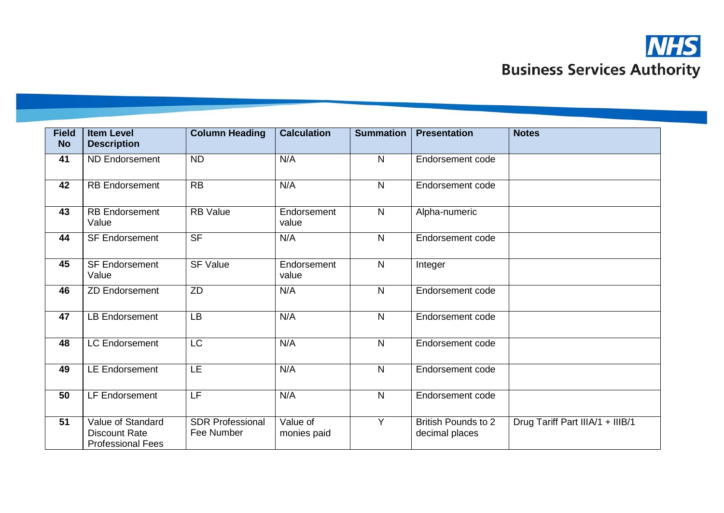

| <b>Field</b><br><b>No</b> | <b>Item Level</b><br><b>Description</b>                               | <b>Column Heading</b>                 | <b>Calculation</b>      | <b>Summation</b>        | <b>Presentation</b>                          | <b>Notes</b>                     |
|---------------------------|-----------------------------------------------------------------------|---------------------------------------|-------------------------|-------------------------|----------------------------------------------|----------------------------------|
| 41                        | <b>ND Endorsement</b>                                                 | <b>ND</b>                             | N/A                     | $\mathsf{N}$            | Endorsement code                             |                                  |
| 42                        | <b>RB Endorsement</b>                                                 | <b>RB</b>                             | N/A                     | $\mathsf{N}$            | Endorsement code                             |                                  |
| 43                        | <b>RB Endorsement</b><br>Value                                        | <b>RB</b> Value                       | Endorsement<br>value    | $\mathsf{N}$            | Alpha-numeric                                |                                  |
| 44                        | <b>SF Endorsement</b>                                                 | <b>SF</b>                             | N/A                     | $\mathsf{N}$            | Endorsement code                             |                                  |
| 45                        | <b>SF Endorsement</b><br>Value                                        | <b>SF Value</b>                       | Endorsement<br>value    | $\mathsf{N}$            | Integer                                      |                                  |
| 46                        | <b>ZD Endorsement</b>                                                 | ZD                                    | N/A                     | N                       | Endorsement code                             |                                  |
| 47                        | <b>LB Endorsement</b>                                                 | LB                                    | N/A                     | $\mathsf{N}$            | Endorsement code                             |                                  |
| 48                        | <b>LC Endorsement</b>                                                 | <b>LC</b>                             | N/A                     | $\mathsf{N}$            | Endorsement code                             |                                  |
| 49                        | <b>LE Endorsement</b>                                                 | LE                                    | N/A                     | $\overline{\mathsf{N}}$ | Endorsement code                             |                                  |
| 50                        | LF Endorsement                                                        | LF                                    | N/A                     | $\overline{\mathsf{N}}$ | Endorsement code                             |                                  |
| $\overline{51}$           | Value of Standard<br><b>Discount Rate</b><br><b>Professional Fees</b> | <b>SDR Professional</b><br>Fee Number | Value of<br>monies paid | $\overline{Y}$          | <b>British Pounds to 2</b><br>decimal places | Drug Tariff Part IIIA/1 + IIIB/1 |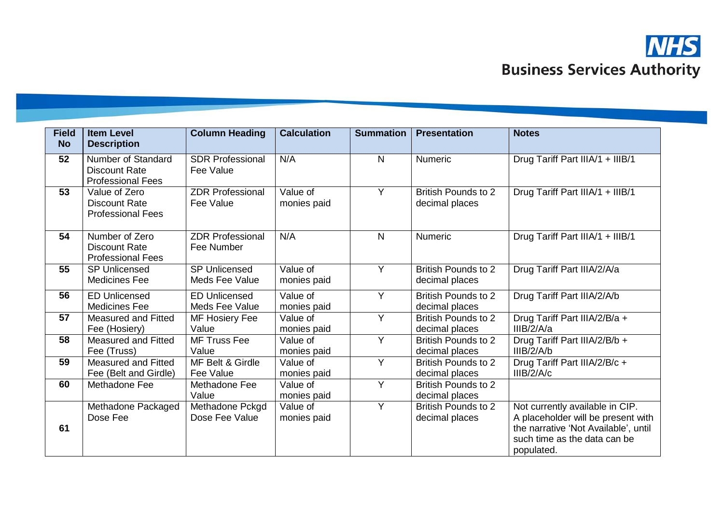

| <b>Field</b><br><b>No</b> | <b>Item Level</b><br><b>Description</b>                                       | <b>Column Heading</b>                  | <b>Calculation</b>      | <b>Summation</b> | <b>Presentation</b>                          | <b>Notes</b>                                                                                                                                                |
|---------------------------|-------------------------------------------------------------------------------|----------------------------------------|-------------------------|------------------|----------------------------------------------|-------------------------------------------------------------------------------------------------------------------------------------------------------------|
| 52                        | <b>Number of Standard</b><br><b>Discount Rate</b><br><b>Professional Fees</b> | <b>SDR Professional</b><br>Fee Value   | N/A                     | $\mathsf{N}$     | Numeric                                      | Drug Tariff Part IIIA/1 + IIIB/1                                                                                                                            |
| 53                        | Value of Zero<br><b>Discount Rate</b><br><b>Professional Fees</b>             | <b>ZDR Professional</b><br>Fee Value   | Value of<br>monies paid | Y                | <b>British Pounds to 2</b><br>decimal places | Drug Tariff Part IIIA/1 + IIIB/1                                                                                                                            |
| 54                        | Number of Zero<br><b>Discount Rate</b><br><b>Professional Fees</b>            | <b>ZDR Professional</b><br>Fee Number  | N/A                     | $\mathsf{N}$     | Numeric                                      | Drug Tariff Part IIIA/1 + IIIB/1                                                                                                                            |
| 55                        | <b>SP Unlicensed</b><br><b>Medicines Fee</b>                                  | <b>SP Unlicensed</b><br>Meds Fee Value | Value of<br>monies paid | Y                | <b>British Pounds to 2</b><br>decimal places | Drug Tariff Part IIIA/2/A/a                                                                                                                                 |
| 56                        | <b>ED Unlicensed</b><br><b>Medicines Fee</b>                                  | <b>ED Unlicensed</b><br>Meds Fee Value | Value of<br>monies paid | $\overline{Y}$   | <b>British Pounds to 2</b><br>decimal places | Drug Tariff Part IIIA/2/A/b                                                                                                                                 |
| 57                        | <b>Measured and Fitted</b><br>Fee (Hosiery)                                   | MF Hosiery Fee<br>Value                | Value of<br>monies paid | Y                | <b>British Pounds to 2</b><br>decimal places | Drug Tariff Part IIIA/2/B/a +<br>IIIB/2/A/a                                                                                                                 |
| 58                        | <b>Measured and Fitted</b><br>Fee (Truss)                                     | <b>MF Truss Fee</b><br>Value           | Value of<br>monies paid | $\overline{Y}$   | <b>British Pounds to 2</b><br>decimal places | Drug Tariff Part IIIA/2/B/b +<br>IIIB/2/A/b                                                                                                                 |
| 59                        | <b>Measured and Fitted</b><br>Fee (Belt and Girdle)                           | MF Belt & Girdle<br>Fee Value          | Value of<br>monies paid | $\overline{Y}$   | <b>British Pounds to 2</b><br>decimal places | Drug Tariff Part IIIA/2/B/c +<br>IIIB/2/A/c                                                                                                                 |
| 60                        | Methadone Fee                                                                 | Methadone Fee<br>Value                 | Value of<br>monies paid | Y                | <b>British Pounds to 2</b><br>decimal places |                                                                                                                                                             |
| 61                        | Methadone Packaged<br>Dose Fee                                                | Methadone Pckgd<br>Dose Fee Value      | Value of<br>monies paid | Y                | <b>British Pounds to 2</b><br>decimal places | Not currently available in CIP.<br>A placeholder will be present with<br>the narrative 'Not Available', until<br>such time as the data can be<br>populated. |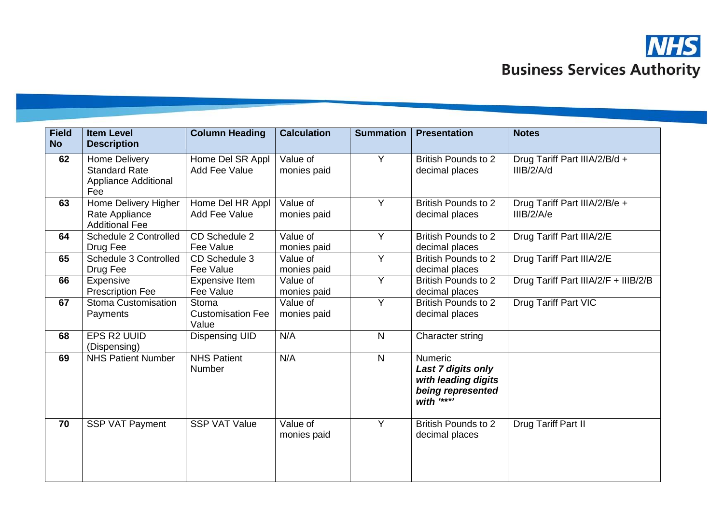

| <b>Field</b><br><b>No</b> | <b>Item Level</b><br><b>Description</b>                                     | <b>Column Heading</b>                      | <b>Calculation</b>      | <b>Summation</b> | <b>Presentation</b>                                                                    | <b>Notes</b>                                |
|---------------------------|-----------------------------------------------------------------------------|--------------------------------------------|-------------------------|------------------|----------------------------------------------------------------------------------------|---------------------------------------------|
| 62                        | Home Delivery<br><b>Standard Rate</b><br><b>Appliance Additional</b><br>Fee | Home Del SR Appl<br>Add Fee Value          | Value of<br>monies paid | Y                | <b>British Pounds to 2</b><br>decimal places                                           | Drug Tariff Part IIIA/2/B/d +<br>IIIB/2/A/d |
| 63                        | Home Delivery Higher<br>Rate Appliance<br><b>Additional Fee</b>             | Home Del HR Appl<br>Add Fee Value          | Value of<br>monies paid | Y                | <b>British Pounds to 2</b><br>decimal places                                           | Drug Tariff Part IIIA/2/B/e +<br>IIIB/2/A/e |
| 64                        | Schedule 2 Controlled<br>Drug Fee                                           | CD Schedule 2<br>Fee Value                 | Value of<br>monies paid | Y                | <b>British Pounds to 2</b><br>decimal places                                           | Drug Tariff Part IIIA/2/E                   |
| 65                        | Schedule 3 Controlled<br>Drug Fee                                           | CD Schedule 3<br>Fee Value                 | Value of<br>monies paid | Y                | <b>British Pounds to 2</b><br>decimal places                                           | Drug Tariff Part IIIA/2/E                   |
| 66                        | Expensive<br><b>Prescription Fee</b>                                        | <b>Expensive Item</b><br>Fee Value         | Value of<br>monies paid | Y                | <b>British Pounds to 2</b><br>decimal places                                           | Drug Tariff Part IIIA/2/F + IIIB/2/B        |
| 67                        | Stoma Customisation<br>Payments                                             | Stoma<br><b>Customisation Fee</b><br>Value | Value of<br>monies paid | Y                | <b>British Pounds to 2</b><br>decimal places                                           | Drug Tariff Part VIC                        |
| 68                        | EPS R2 UUID<br>(Dispensing)                                                 | <b>Dispensing UID</b>                      | N/A                     | $\mathsf{N}$     | Character string                                                                       |                                             |
| 69                        | <b>NHS Patient Number</b>                                                   | <b>NHS Patient</b><br>Number               | N/A                     | $\mathsf{N}$     | Numeric<br>Last 7 digits only<br>with leading digits<br>being represented<br>with **** |                                             |
| 70                        | SSP VAT Payment                                                             | <b>SSP VAT Value</b>                       | Value of<br>monies paid | Y                | <b>British Pounds to 2</b><br>decimal places                                           | Drug Tariff Part II                         |